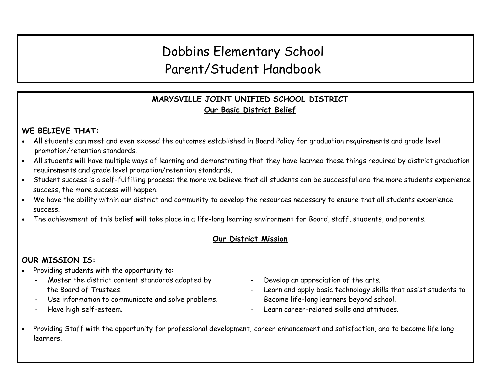# Dobbins Elementary School Parent/Student Handbook

# **MARYSVILLE JOINT UNIFIED SCHOOL DISTRICT Our Basic District Belief**

# **WE BELIEVE THAT:**

- All students can meet and even exceed the outcomes established in Board Policy for graduation requirements and grade level promotion/retention standards.
- All students will have multiple ways of learning and demonstrating that they have learned those things required by district graduation requirements and grade level promotion/retention standards.
- Student success is a self-fulfilling process: the more we believe that all students can be successful and the more students experience success, the more success will happen.
- We have the ability within our district and community to develop the resources necessary to ensure that all students experience success.
- The achievement of this belief will take place in a life-long learning environment for Board, staff, students, and parents.

# **Our District Mission**

# **OUR MISSION IS:**

- Providing students with the opportunity to:
	- Master the district content standards adopted by The Develop an appreciation of the arts.
	- Use information to communicate and solve problems. Become life-long learners beyond school.
	-
- 
- the Board of Trustees. The Board of Trustees.
- Have high self-esteem.  $\qquad \qquad \qquad \qquad \qquad \qquad \qquad \qquad \qquad \qquad \qquad \qquad \qquad \text{Learn career-related skills and attitudes.}$
- Providing Staff with the opportunity for professional development, career enhancement and satisfaction, and to become life long learners.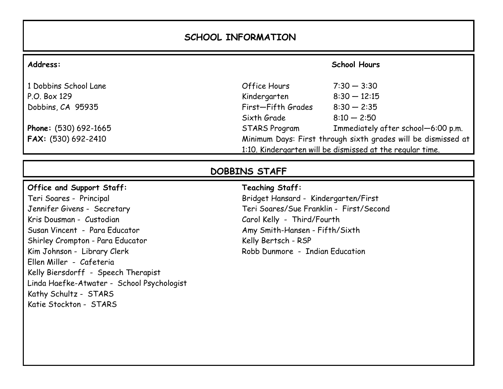# **SCHOOL INFORMATION**

| Address:              |                                                                                                                            | <b>School Hours</b>                |
|-----------------------|----------------------------------------------------------------------------------------------------------------------------|------------------------------------|
| 1 Dobbins School Lane | Office Hours                                                                                                               | $7:30 - 3:30$                      |
| $P.O.$ Box 129        | Kindergarten                                                                                                               | $8:30 - 12:15$                     |
| Dobbins, CA 95935     | First-Fifth Grades                                                                                                         | $8:30 - 2:35$                      |
|                       | Sixth Grade                                                                                                                | $8:10 - 2:50$                      |
| Phone: (530) 692-1665 | <b>STARS Program</b>                                                                                                       | Immediately after school-6:00 p.m. |
| FAX: (530) 692-2410   | Minimum Days: First through sixth grades will be dismissed at<br>1:10. Kindergarten will be dismissed at the regular time. |                                    |

# **DOBBINS STAFF**

### **Office and Support Staff:**

Teri Soares - Principal Jennifer Givens - Secretary Kris Dousman - Custodian Susan Vincent - Para Educator Shirley Crompton - Para Educator Kim Johnson - Library Clerk Ellen Miller - Cafeteria Kelly Biersdorff - Speech Therapist Linda Haefke-Atwater - School Psychologist Kathy Schultz - STARS Katie Stockton - STARS

# **Teaching Staff:**

Bridget Hansard - Kindergarten/First Teri Soares/Sue Franklin - First/Second Carol Kelly - Third/Fourth Amy Smith-Hansen - Fifth/Sixth Kelly Bertsch - RSP Robb Dunmore - Indian Education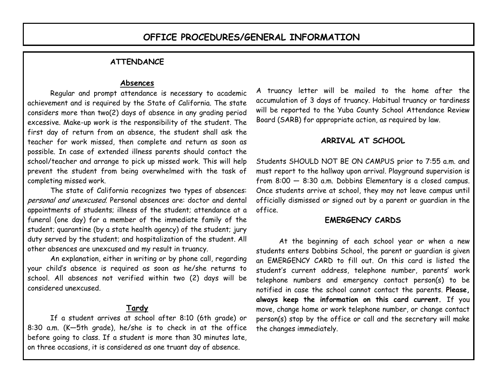### **ATTENDANCE**

### **Absences**

Regular and prompt attendance is necessary to academic achievement and is required by the State of California. The state considers more than two(2) days of absence in any grading period excessive. Make-up work is the responsibility of the student. The first day of return from an absence, the student shall ask the teacher for work missed, then complete and return as soon as possible. In case of extended illness parents should contact the school/teacher and arrange to pick up missed work. This will help prevent the student from being overwhelmed with the task of completing missed work.

The state of California recognizes two types of absences: personal and unexcused. Personal absences are: doctor and dental appointments of students; illness of the student; attendance at a funeral (one day) for a member of the immediate family of the student; quarantine (by a state health agency) of the student; jury duty served by the student; and hospitalization of the student. All other absences are unexcused and my result in truancy.

An explanation, either in writing or by phone call, regarding your child's absence is required as soon as he/she returns to school. All absences not verified within two (2) days will be considered unexcused.

# **Tardy**

If a student arrives at school after 8:10 (6th grade) or 8:30 a.m. (K—5th grade), he/she is to check in at the office before going to class. If a student is more than 30 minutes late, on three occasions, it is considered as one truant day of absence.

A truancy letter will be mailed to the home after the accumulation of 3 days of truancy. Habitual truancy or tardiness will be reported to the Yuba County School Attendance Review Board (SARB) for appropriate action, as required by law.

# **ARRIVAL AT SCHOOL**

Students SHOULD NOT BE ON CAMPUS prior to 7:55 a.m. and must report to the hallway upon arrival. Playground supervision is from 8:00 — 8:30 a.m. Dobbins Elementary is a closed campus. Once students arrive at school, they may not leave campus until officially dismissed or signed out by a parent or guardian in the office.

### **EMERGENCY CARDS**

At the beginning of each school year or when a new students enters Dobbins School, the parent or guardian is given an EMERGENCY CARD to fill out. On this card is listed the student's current address, telephone number, parents' work telephone numbers and emergency contact person(s) to be notified in case the school cannot contact the parents. **Please, always keep the information on this card current.** If you move, change home or work telephone number, or change contact person(s) stop by the office or call and the secretary will make the changes immediately.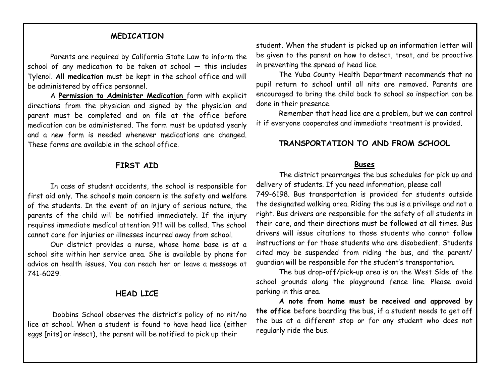# **MEDICATION**

Parents are required by California State Law to inform the school of any medication to be taken at school — this includes Tylenol. **All medication** must be kept in the school office and will be administered by office personnel.

A **Permission to Administer Medication** form with explicit directions from the physician and signed by the physician and parent must be completed and on file at the office before medication can be administered. The form must be updated yearly and a new form is needed whenever medications are changed. These forms are available in the school office.

### **FIRST AID**

In case of student accidents, the school is responsible for first aid only. The school's main concern is the safety and welfare of the students. In the event of an injury of serious nature, the parents of the child will be notified immediately. If the injury requires immediate medical attention 911 will be called. The school cannot care for injuries or illnesses incurred away from school.

Our district provides a nurse, whose home base is at a school site within her service area. She is available by phone for advice on health issues. You can reach her or leave a message at 741-6029.

### **HEAD LICE**

Dobbins School observes the district's policy of no nit/no lice at school. When a student is found to have head lice (either eggs [nits] or insect), the parent will be notified to pick up their

student. When the student is picked up an information letter will be given to the parent on how to detect, treat, and be proactive in preventing the spread of head lice.

The Yuba County Health Department recommends that no pupil return to school until all nits are removed. Parents are encouraged to bring the child back to school so inspection can be done in their presence.

Remember that head lice are a problem, but we **can** control it if everyone cooperates and immediate treatment is provided.

### **TRANSPORTATION TO AND FROM SCHOOL**

#### **Buses**

The district prearranges the bus schedules for pick up and delivery of students. If you need information, please call

749-6198. Bus transportation is provided for students outside the designated walking area. Riding the bus is a privilege and not a right. Bus drivers are responsible for the safety of all students in their care, and their directions must be followed at all times. Bus drivers will issue citations to those students who cannot follow instructions or for those students who are disobedient. Students cited may be suspended from riding the bus, and the parent/ guardian will be responsible for the student's transportation.

The bus drop-off/pick-up area is on the West Side of the school grounds along the playground fence line. Please avoid parking in this area.

**A note from home must be received and approved by the office** before boarding the bus, if a student needs to get off the bus at a different stop or for any student who does not regularly ride the bus.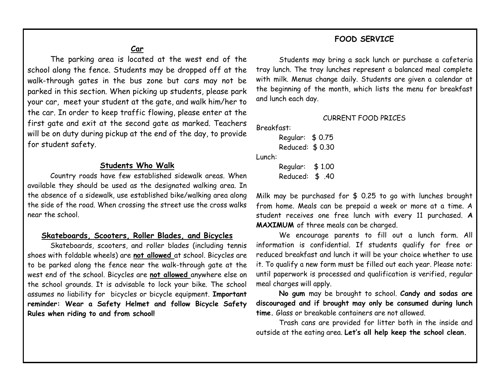### **FOOD SERVICE**

**Car**

The parking area is located at the west end of the school along the fence. Students may be dropped off at the walk-through gates in the bus zone but cars may not be parked in this section. When picking up students, please park your car, meet your student at the gate, and walk him/her to the car. In order to keep traffic flowing, please enter at the first gate and exit at the second gate as marked. Teachers will be on duty during pickup at the end of the day, to provide for student safety.

### **Students Who Walk**

Country roads have few established sidewalk areas. When available they should be used as the designated walking area. In the absence of a sidewalk, use established bike/walking area along the side of the road. When crossing the street use the cross walks near the school.

### **Skateboards, Scooters, Roller Blades, and Bicycles**

Skateboards, scooters, and roller blades (including tennis shoes with foldable wheels) are **not allowed** at school. Bicycles are to be parked along the fence near the walk-through gate at the west end of the school. Bicycles are **not allowed** anywhere else on the school grounds. It is advisable to lock your bike. The school assumes no liability for bicycles or bicycle equipment. **Important reminder: Wear a Safety Helmet and follow Bicycle Safety Rules when riding to and from school!**

Students may bring a sack lunch or purchase a cafeteria tray lunch. The tray lunches represent a balanced meal complete with milk. Menus change daily. Students are given a calendar at the beginning of the month, which lists the menu for breakfast and lunch each day.

#### CURRENT FOOD PRICES

Breakfast:

Regular: \$ 0.75 Reduced: \$ 0.30 Lunch: Regular: \$ 1.00

Reduced: \$ .40

Milk may be purchased for \$ 0.25 to go with lunches brought from home. Meals can be prepaid a week or more at a time. A student receives one free lunch with every 11 purchased. **A MAXIMUM** of three meals can be charged.

We encourage parents to fill out a lunch form. All information is confidential. If students qualify for free or reduced breakfast and lunch it will be your choice whether to use it. To qualify a new form must be filled out each year. Please note: until paperwork is processed and qualification is verified, regular meal charges will apply.

**No gum** may be brought to school. **Candy and sodas are discouraged and if brought may only be consumed during lunch time.** Glass or breakable containers are not allowed.

Trash cans are provided for litter both in the inside and outside at the eating area. **Let's all help keep the school clean.**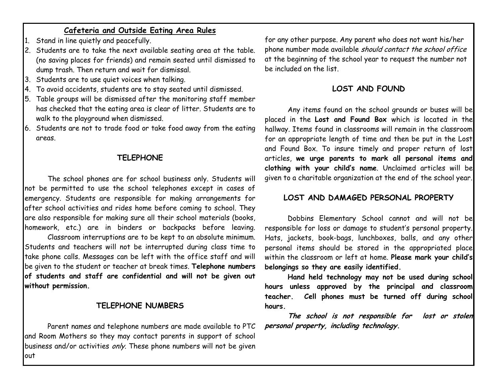### **Cafeteria and Outside Eating Area Rules**

- 1. Stand in line quietly and peacefully.
- 2. Students are to take the next available seating area at the table. (no saving places for friends) and remain seated until dismissed to dump trash. Then return and wait for dismissal.
- 3. Students are to use quiet voices when talking.
- 4. To avoid accidents, students are to stay seated until dismissed.
- 5. Table groups will be dismissed after the monitoring staff member has checked that the eating area is clear of litter. Students are to walk to the playground when dismissed.
- 6. Students are not to trade food or take food away from the eating areas.

### **TELEPHONE**

The school phones are for school business only. Students will not be permitted to use the school telephones except in cases of emergency. Students are responsible for making arrangements for after school activities and rides home before coming to school. They are also responsible for making sure all their school materials (books, homework, etc.) are in binders or backpacks before leaving.

Classroom interruptions are to be kept to an absolute minimum. Students and teachers will not be interrupted during class time to take phone calls. Messages can be left with the office staff and will be given to the student or teacher at break times. **Telephone numbers of students and staff are confidential and will not be given out without permission.** 

### **TELEPHONE NUMBERS**

Parent names and telephone numbers are made available to PTC **personal property, including technology.**and Room Mothers so they may contact parents in support of school business and/or activities only. These phone numbers will not be given out

for any other purpose. Any parent who does not want his/her phone number made available should contact the school office at the beginning of the school year to request the number not be included on the list.

### **LOST AND FOUND**

Any items found on the school grounds or buses will be placed in the **Lost and Found Box** which is located in the hallway. Items found in classrooms will remain in the classroom for an appropriate length of time and then be put in the Lost and Found Box. To insure timely and proper return of lost articles, **we urge parents to mark all personal items and clothing with your child's name**. Unclaimed articles will be given to a charitable organization at the end of the school year.

### **LOST AND DAMAGED PERSONAL PROPERTY**

Dobbins Elementary School cannot and will not be responsible for loss or damage to student's personal property. Hats, jackets, book-bags, lunchboxes, balls, and any other personal items should be stored in the appropriated place within the classroom or left at home. **Please mark your child's belongings so they are easily identified.**

**Hand held technology may not be used during school hours unless approved by the principal and classroom teacher. Cell phones must be turned off during school hours.** 

**The school is not responsible for lost or stolen**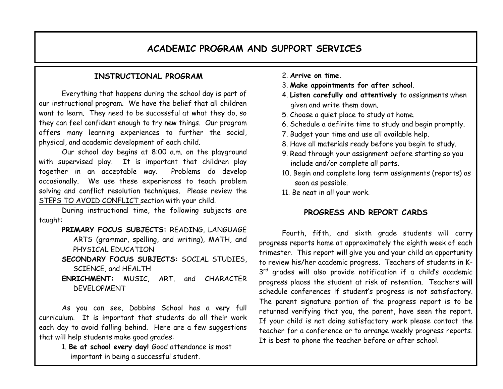# **ACADEMIC PROGRAM AND SUPPORT SERVICES**

### **INSTRUCTIONAL PROGRAM**

Everything that happens during the school day is part of our instructional program. We have the belief that all children want to learn. They need to be successful at what they do, so they can feel confident enough to try new things. Our program offers many learning experiences to further the social, physical, and academic development of each child.

Our school day begins at 8:00 a.m. on the playground with supervised play. It is important that children play together in an acceptable way. Problems do develop occasionally. We use these experiences to teach problem solving and conflict resolution techniques. Please review the STEPS TO AVOID CONFLICT section with your child.

During instructional time, the following subjects are taught:

- **PRIMARY FOCUS SUBJECTS:** READING, LANGUAGE ARTS (grammar, spelling, and writing), MATH, and PHYSICAL EDUCATION
- **SECONDARY FOCUS SUBJECTS:** SOCIAL STUDIES, SCIENCE, and HEALTH
- **ENRICHMENT:** MUSIC, ART, and CHARACTER DEVELOPMENT

As you can see, Dobbins School has a very full curriculum. It is important that students do all their work each day to avoid falling behind. Here are a few suggestions that will help students make good grades:

> 1. **Be at school every day!** Good attendance is most important in being a successful student.

- 2. **Arrive on time.**
- 3. **Make appointments for after school**.
- 4. **Listen carefully and attentively** to assignments when given and write them down.
- 5. Choose a quiet place to study at home.
- 6. Schedule a definite time to study and begin promptly.
- 7. Budget your time and use all available help.
- 8. Have all materials ready before you begin to study.
- 9. Read through your assignment before starting so you include and/or complete all parts.
- 10. Begin and complete long term assignments (reports) as soon as possible.
- 11. Be neat in all your work.

# **PROGRESS AND REPORT CARDS**

Fourth, fifth, and sixth grade students will carry progress reports home at approximately the eighth week of each trimester. This report will give you and your child an opportunity to review his/her academic progress. Teachers of students in K-3<sup>rd</sup> grades will also provide notification if a child's academic progress places the student at risk of retention. Teachers will schedule conferences if student's progress is not satisfactory. The parent signature portion of the progress report is to be returned verifying that you, the parent, have seen the report. If your child is not doing satisfactory work please contact the teacher for a conference or to arrange weekly progress reports. It is best to phone the teacher before or after school.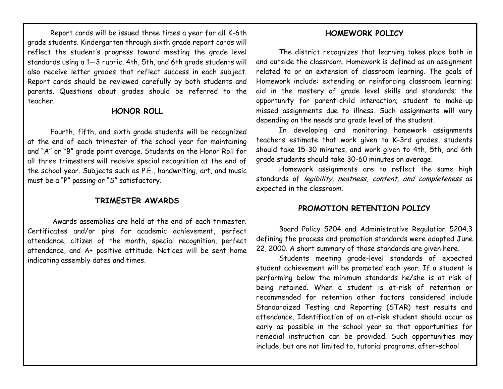Report cards will be issued three times a year for all K-6th grade students. Kindergarten through sixth grade report cards will reflect the student's progress toward meeting the grade level standards using a 1—3 rubric. 4th, 5th, and 6th grade students will also receive letter grades that reflect success in each subject. Report cards should be reviewed carefully by both students and parents. Questions about grades should be referred to the teacher.

#### **HONOR ROLL**

Fourth, fifth, and sixth grade students will be recognized at the end of each trimester of the school year for maintaining and "A" or "B" grade point average. Students on the Honor Roll for all three trimesters will receive special recognition at the end of the school year. Subjects such as P.E., handwriting, art, and music must be a "P" passing or "S" satisfactory.

### **TRIMESTER AWARDS**

Awards assemblies are held at the end of each trimester. Certificates and/or pins for academic achievement, perfect attendance, citizen of the month, special recognition, perfect attendance, and A+ positive attitude. Notices will be sent home indicating assembly dates and times.

### **HOMEWORK POLICY**

The district recognizes that learning takes place both in and outside the classroom. Homework is defined as an assignment related to or an extension of classroom learning. The goals of Homework include: extending or reinforcing classroom learning; aid in the mastery of grade level skills and standards; the opportunity for parent-child interaction; student to make-up missed assignments due to illness. Such assignments will vary depending on the needs and grade level of the student.

In developing and monitoring homework assignments teachers estimate that work given to K-3rd grades, students should take 15-30 minutes, and work given to 4th, 5th, and 6th grade students should take 30-60 minutes on average.

Homework assignments are to reflect the same high standards of legibility, neatness, content, and completeness as expected in the classroom.

### **PROMOTION RETENTION POLICY**

Board Policy 5204 and Administrative Regulation 5204.3 defining the process and promotion standards were adopted June 22, 2000. A short summary of those standards are given here.

Students meeting grade-level standards of expected student achievement will be promoted each year. If a student is performing below the minimum standards he/she is at risk of being retained. When a student is at-risk of retention or recommended for retention other factors considered include Standardized Testing and Reporting (STAR) test results and attendance. Identification of an at-risk student should occur as early as possible in the school year so that opportunities for remedial instruction can be provided. Such opportunities may include, but are not limited to, tutorial programs, after-school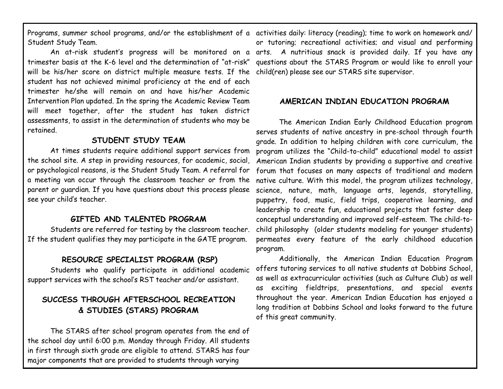Programs, summer school programs, and/or the establishment of a activities daily: literacy (reading); time to work on homework and/ Student Study Team.

trimester basis at the K-6 level and the determination of "at-risk" questions about the STARS Program or would like to enroll your will be his/her score on district multiple measure tests. If the child(ren) please see our STARS site supervisor. student has not achieved minimal proficiency at the end of each trimester he/she will remain on and have his/her Academic Intervention Plan updated. In the spring the Academic Review Team will meet together, after the student has taken district assessments, to assist in the determination of students who may be retained.

### **STUDENT STUDY TEAM**

At times students require additional support services from the school site. A step in providing resources, for academic, social, or psychological reasons, is the Student Study Team. A referral for a meeting van occur through the classroom teacher or from the parent or guardian. If you have questions about this process please see your child's teacher.

### **GIFTED AND TALENTED PROGRAM**

Students are referred for testing by the classroom teacher. If the student qualifies they may participate in the GATE program.

### **RESOURCE SPECIALIST PROGRAM (RSP)**

Students who qualify participate in additional academic support services with the school's RST teacher and/or assistant.

# **SUCCESS THROUGH AFTERSCHOOL RECREATION & STUDIES (STARS) PROGRAM**

The STARS after school program operates from the end of the school day until 6:00 p.m. Monday through Friday. All students in first through sixth grade are eligible to attend. STARS has four major components that are provided to students through varying

An at-risk student's progress will be monitored on a arts. A nutritious snack is provided daily. If you have any or tutoring; recreational activities; and visual and performing

# **AMERICAN INDIAN EDUCATION PROGRAM**

The American Indian Early Childhood Education program serves students of native ancestry in pre-school through fourth grade. In addition to helping children with core curriculum, the program utilizes the "Child-to-child" educational model to assist American Indian students by providing a supportive and creative forum that focuses on many aspects of traditional and modern native culture. With this model, the program utilizes technology, science, nature, math, language arts, legends, storytelling, puppetry, food, music, field trips, cooperative learning, and leadership to create fun, educational projects that foster deep conceptual understanding and improved self-esteem. The child-tochild philosophy (older students modeling for younger students) permeates every feature of the early childhood education program.

Additionally, the American Indian Education Program offers tutoring services to all native students at Dobbins School, as well as extracurricular activities (such as Culture Club) as well as exciting fieldtrips, presentations, and special events throughout the year. American Indian Education has enjoyed a long tradition at Dobbins School and looks forward to the future of this great community.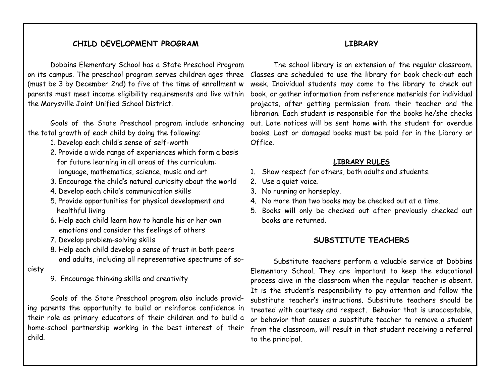### **CHILD DEVELOPMENT PROGRAM**

Dobbins Elementary School has a State Preschool Program on its campus. The preschool program serves children ages three (must be 3 by December 2nd) to five at the time of enrollment w parents must meet income eligibility requirements and live within the Marysville Joint Unified School District.

Goals of the State Preschool program include enhancing the total growth of each child by doing the following:

- 1. Develop each child's sense of self-worth
- 2. Provide a wide range of experiences which form a basis for future learning in all areas of the curriculum: language, mathematics, science, music and art
- 3. Encourage the child's natural curiosity about the world
- 4. Develop each child's communication skills
- 5. Provide opportunities for physical development and healthful living
- 6. Help each child learn how to handle his or her own emotions and consider the feelings of others
- 7. Develop problem-solving skills
- 8. Help each child develop a sense of trust in both peers and adults, including all representative spectrums of so-

### ciety

9. Encourage thinking skills and creativity

Goals of the State Preschool program also include providing parents the opportunity to build or reinforce confidence in their role as primary educators of their children and to build a home-school partnership working in the best interest of their child.

### **LIBRARY**

The school library is an extension of the regular classroom. Classes are scheduled to use the library for book check-out each week. Individual students may come to the library to check out book, or gather information from reference materials for individual projects, after getting permission from their teacher and the librarian. Each student is responsible for the books he/she checks out. Late notices will be sent home with the student for overdue books. Lost or damaged books must be paid for in the Library or Office.

### **LIBRARY RULES**

- 1. Show respect for others, both adults and students.
- 2. Use a quiet voice.
- 3. No running or horseplay.
- 4. No more than two books may be checked out at a time.
- 5. Books will only be checked out after previously checked out books are returned.

# **SUBSTITUTE TEACHERS**

Substitute teachers perform a valuable service at Dobbins Elementary School. They are important to keep the educational process alive in the classroom when the regular teacher is absent. It is the student's responsibility to pay attention and follow the substitute teacher's instructions. Substitute teachers should be treated with courtesy and respect. Behavior that is unacceptable, or behavior that causes a substitute teacher to remove a student from the classroom, will result in that student receiving a referral to the principal.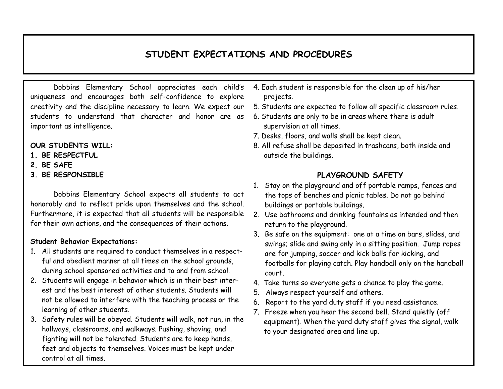# **STUDENT EXPECTATIONS AND PROCEDURES**

Dobbins Elementary School appreciates each child's uniqueness and encourages both self-confidence to explore creativity and the discipline necessary to learn. We expect our students to understand that character and honor are as important as intelligence.

#### **OUR STUDENTS WILL:**

- **1. BE RESPECTFUL**
- **2. BE SAFE**
- **3. BE RESPONSIBLE**

Dobbins Elementary School expects all students to act honorably and to reflect pride upon themselves and the school. Furthermore, it is expected that all students will be responsible for their own actions, and the consequences of their actions.

### **Student Behavior Expectations:**

- 1. All students are required to conduct themselves in a respectful and obedient manner at all times on the school grounds, during school sponsored activities and to and from school.
- 2. Students will engage in behavior which is in their best interest and the best interest of other students. Students will not be allowed to interfere with the teaching process or the learning of other students.
- 3. Safety rules will be obeyed. Students will walk, not run, in the hallways, classrooms, and walkways. Pushing, shoving, and fighting will not be tolerated. Students are to keep hands, feet and objects to themselves. Voices must be kept under control at all times.
- 4. Each student is responsible for the clean up of his/her projects.
- 5. Students are expected to follow all specific classroom rules.
- 6. Students are only to be in areas where there is adult supervision at all times.
- 7. Desks, floors, and walls shall be kept clean.
- 8. All refuse shall be deposited in trashcans, both inside and outside the buildings.

# **PLAYGROUND SAFETY**

- 1. Stay on the playground and off portable ramps, fences and the tops of benches and picnic tables. Do not go behind buildings or portable buildings.
- 2. Use bathrooms and drinking fountains as intended and then return to the playground.
- 3. Be safe on the equipment: one at a time on bars, slides, and swings; slide and swing only in a sitting position. Jump ropes are for jumping, soccer and kick balls for kicking, and footballs for playing catch. Play handball only on the handball court.
- 4. Take turns so everyone gets a chance to play the game.
- 5. Always respect yourself and others.
- 6. Report to the yard duty staff if you need assistance.
- 7. Freeze when you hear the second bell. Stand quietly (off equipment). When the yard duty staff gives the signal, walk to your designated area and line up.